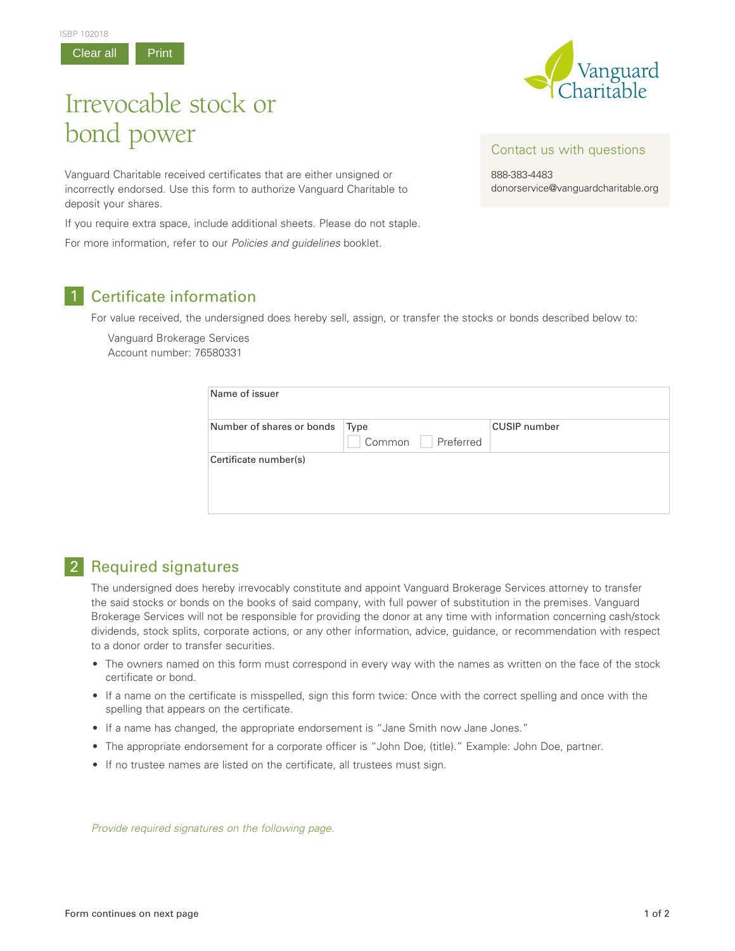





## Irrevocable stock or bond power

Vanguard Charitable received certificates that are either unsigned or incorrectly endorsed. Use this form to authorize Vanguard Charitable to deposit your shares.

If you require extra space, include additional sheets. Please do not staple.

For more information, refer to our *Policies and guidelines* booklet.

## 1 Certificate information

For value received, the undersigned does hereby sell, assign, or transfer the stocks or bonds described below to:

Vanguard Brokerage Services Account number: 76580331

| Name of issuer            |                             |                     |
|---------------------------|-----------------------------|---------------------|
| Number of shares or bonds | Type<br>Preferred<br>Common | <b>CUSIP</b> number |
| Certificate number(s)     |                             |                     |

## 2 Required signatures

The undersigned does hereby irrevocably constitute and appoint Vanguard Brokerage Services attorney to transfer the said stocks or bonds on the books of said company, with full power of substitution in the premises. Vanguard Brokerage Services will not be responsible for providing the donor at any time with information concerning cash/stock dividends, stock splits, corporate actions, or any other information, advice, guidance, or recommendation with respect to a donor order to transfer securities.

- The owners named on this form must correspond in every way with the names as written on the face of the stock certificate or bond.
- If a name on the certificate is misspelled, sign this form twice: Once with the correct spelling and once with the spelling that appears on the certificate.
- If a name has changed, the appropriate endorsement is "Jane Smith now Jane Jones."
- The appropriate endorsement for a corporate officer is "John Doe, (title)." Example: John Doe, partner.
- If no trustee names are listed on the certificate, all trustees must sign.

*Provide required signatures on the following page.*

888-383-4483 donorservice@vanguardcharitable.org